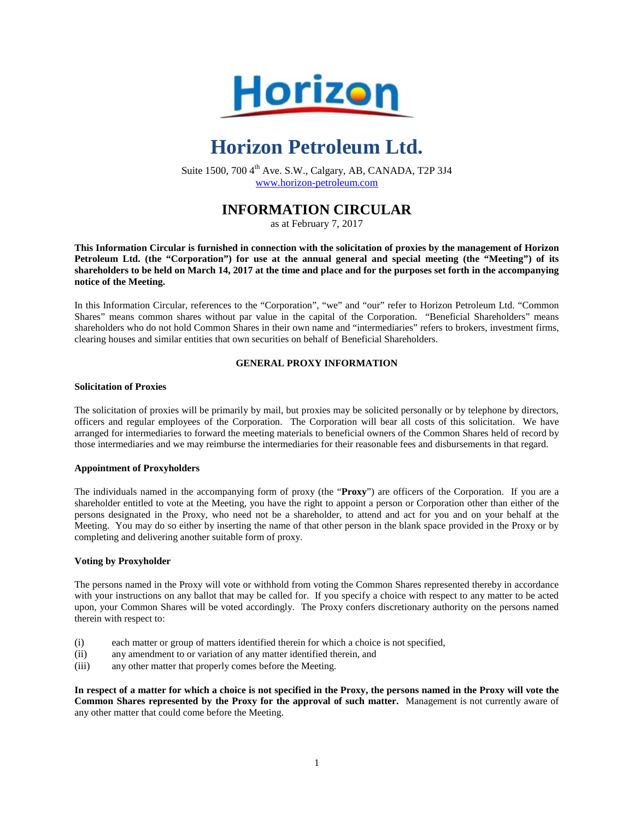

# **Horizon Petroleum Ltd.**

Suite  $1500$ ,  $7004$ <sup>th</sup> Ave. S.W., Calgary, AB, CANADA, T2P 3J4 www.horizon-petroleum.com

## **INFORMATION CIRCULAR**

as at February 7, 2017

**This Information Circular is furnished in connection with the solicitation of proxies by the management of Horizon Petroleum Ltd. (the "Corporation") for use at the annual general and special meeting (the "Meeting") of its shareholders to be held on March 14, 2017 at the time and place and for the purposes set forth in the accompanying notice of the Meeting.** 

In this Information Circular, references to the "Corporation", "we" and "our" refer to Horizon Petroleum Ltd. "Common Shares" means common shares without par value in the capital of the Corporation. "Beneficial Shareholders" means shareholders who do not hold Common Shares in their own name and "intermediaries" refers to brokers, investment firms, clearing houses and similar entities that own securities on behalf of Beneficial Shareholders.

## **GENERAL PROXY INFORMATION**

#### **Solicitation of Proxies**

The solicitation of proxies will be primarily by mail, but proxies may be solicited personally or by telephone by directors, officers and regular employees of the Corporation. The Corporation will bear all costs of this solicitation. We have arranged for intermediaries to forward the meeting materials to beneficial owners of the Common Shares held of record by those intermediaries and we may reimburse the intermediaries for their reasonable fees and disbursements in that regard.

## **Appointment of Proxyholders**

The individuals named in the accompanying form of proxy (the "**Proxy**") are officers of the Corporation. If you are a shareholder entitled to vote at the Meeting, you have the right to appoint a person or Corporation other than either of the persons designated in the Proxy, who need not be a shareholder, to attend and act for you and on your behalf at the Meeting. You may do so either by inserting the name of that other person in the blank space provided in the Proxy or by completing and delivering another suitable form of proxy.

## **Voting by Proxyholder**

The persons named in the Proxy will vote or withhold from voting the Common Shares represented thereby in accordance with your instructions on any ballot that may be called for. If you specify a choice with respect to any matter to be acted upon, your Common Shares will be voted accordingly. The Proxy confers discretionary authority on the persons named therein with respect to:

- (i) each matter or group of matters identified therein for which a choice is not specified,
- (ii) any amendment to or variation of any matter identified therein, and
- (iii) any other matter that properly comes before the Meeting.

**In respect of a matter for which a choice is not specified in the Proxy, the persons named in the Proxy will vote the Common Shares represented by the Proxy for the approval of such matter.** Management is not currently aware of any other matter that could come before the Meeting.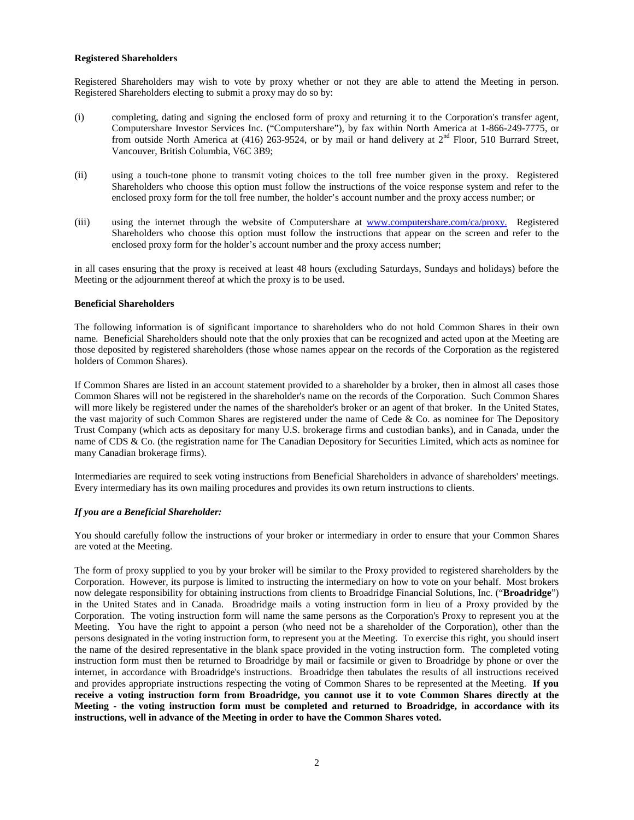#### **Registered Shareholders**

Registered Shareholders may wish to vote by proxy whether or not they are able to attend the Meeting in person. Registered Shareholders electing to submit a proxy may do so by:

- (i) completing, dating and signing the enclosed form of proxy and returning it to the Corporation's transfer agent, Computershare Investor Services Inc. ("Computershare"), by fax within North America at 1-866-249-7775, or from outside North America at (416) 263-9524, or by mail or hand delivery at  $2<sup>nd</sup>$  Floor, 510 Burrard Street, Vancouver, British Columbia, V6C 3B9;
- (ii) using a touch-tone phone to transmit voting choices to the toll free number given in the proxy. Registered Shareholders who choose this option must follow the instructions of the voice response system and refer to the enclosed proxy form for the toll free number, the holder's account number and the proxy access number; or
- (iii) using the internet through the website of Computershare at [www.computershare.com/ca/proxy. R](http://www.computershare.com/ca/proxy.)egistered Shareholders who choose this option must follow the instructions that appear on the screen and refer to the enclosed proxy form for the holder's account number and the proxy access number;

in all cases ensuring that the proxy is received at least 48 hours (excluding Saturdays, Sundays and holidays) before the Meeting or the adjournment thereof at which the proxy is to be used.

#### **Beneficial Shareholders**

The following information is of significant importance to shareholders who do not hold Common Shares in their own name. Beneficial Shareholders should note that the only proxies that can be recognized and acted upon at the Meeting are those deposited by registered shareholders (those whose names appear on the records of the Corporation as the registered holders of Common Shares).

If Common Shares are listed in an account statement provided to a shareholder by a broker, then in almost all cases those Common Shares will not be registered in the shareholder's name on the records of the Corporation. Such Common Shares will more likely be registered under the names of the shareholder's broker or an agent of that broker. In the United States, the vast majority of such Common Shares are registered under the name of Cede & Co. as nominee for The Depository Trust Company (which acts as depositary for many U.S. brokerage firms and custodian banks), and in Canada, under the name of CDS & Co. (the registration name for The Canadian Depository for Securities Limited, which acts as nominee for many Canadian brokerage firms).

Intermediaries are required to seek voting instructions from Beneficial Shareholders in advance of shareholders' meetings. Every intermediary has its own mailing procedures and provides its own return instructions to clients.

## *If you are a Beneficial Shareholder:*

You should carefully follow the instructions of your broker or intermediary in order to ensure that your Common Shares are voted at the Meeting.

The form of proxy supplied to you by your broker will be similar to the Proxy provided to registered shareholders by the Corporation. However, its purpose is limited to instructing the intermediary on how to vote on your behalf. Most brokers now delegate responsibility for obtaining instructions from clients to Broadridge Financial Solutions, Inc. ("**Broadridge**") in the United States and in Canada. Broadridge mails a voting instruction form in lieu of a Proxy provided by the Corporation. The voting instruction form will name the same persons as the Corporation's Proxy to represent you at the Meeting. You have the right to appoint a person (who need not be a shareholder of the Corporation), other than the persons designated in the voting instruction form, to represent you at the Meeting. To exercise this right, you should insert the name of the desired representative in the blank space provided in the voting instruction form. The completed voting instruction form must then be returned to Broadridge by mail or facsimile or given to Broadridge by phone or over the internet, in accordance with Broadridge's instructions. Broadridge then tabulates the results of all instructions received and provides appropriate instructions respecting the voting of Common Shares to be represented at the Meeting. **If you receive a voting instruction form from Broadridge, you cannot use it to vote Common Shares directly at the Meeting - the voting instruction form must be completed and returned to Broadridge, in accordance with its instructions, well in advance of the Meeting in order to have the Common Shares voted.**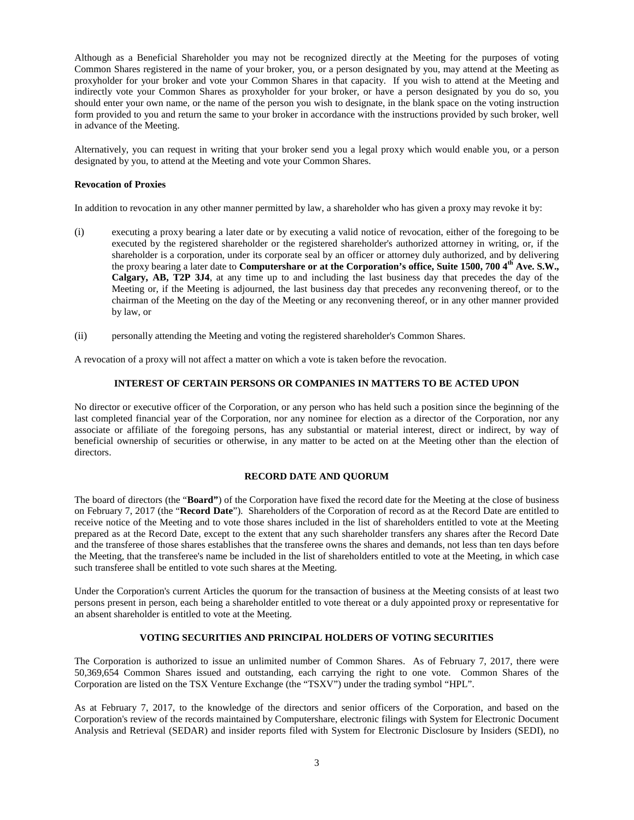Although as a Beneficial Shareholder you may not be recognized directly at the Meeting for the purposes of voting Common Shares registered in the name of your broker, you, or a person designated by you, may attend at the Meeting as proxyholder for your broker and vote your Common Shares in that capacity. If you wish to attend at the Meeting and indirectly vote your Common Shares as proxyholder for your broker, or have a person designated by you do so, you should enter your own name, or the name of the person you wish to designate, in the blank space on the voting instruction form provided to you and return the same to your broker in accordance with the instructions provided by such broker, well in advance of the Meeting.

Alternatively, you can request in writing that your broker send you a legal proxy which would enable you, or a person designated by you, to attend at the Meeting and vote your Common Shares.

#### **Revocation of Proxies**

In addition to revocation in any other manner permitted by law, a shareholder who has given a proxy may revoke it by:

- (i) executing a proxy bearing a later date or by executing a valid notice of revocation, either of the foregoing to be executed by the registered shareholder or the registered shareholder's authorized attorney in writing, or, if the shareholder is a corporation, under its corporate seal by an officer or attorney duly authorized, and by delivering the proxy bearing a later date to **Computershare or at the Corporation's office, Suite 1500, 700 4th Ave. S.W., Calgary, AB, T2P 3J4**, at any time up to and including the last business day that precedes the day of the Meeting or, if the Meeting is adjourned, the last business day that precedes any reconvening thereof, or to the chairman of the Meeting on the day of the Meeting or any reconvening thereof, or in any other manner provided by law, or
- (ii) personally attending the Meeting and voting the registered shareholder's Common Shares.

A revocation of a proxy will not affect a matter on which a vote is taken before the revocation.

#### **INTEREST OF CERTAIN PERSONS OR COMPANIES IN MATTERS TO BE ACTED UPON**

No director or executive officer of the Corporation, or any person who has held such a position since the beginning of the last completed financial year of the Corporation, nor any nominee for election as a director of the Corporation, nor any associate or affiliate of the foregoing persons, has any substantial or material interest, direct or indirect, by way of beneficial ownership of securities or otherwise, in any matter to be acted on at the Meeting other than the election of directors.

## **RECORD DATE AND QUORUM**

The board of directors (the "**Board"**) of the Corporation have fixed the record date for the Meeting at the close of business on February 7, 2017 (the "**Record Date**"). Shareholders of the Corporation of record as at the Record Date are entitled to receive notice of the Meeting and to vote those shares included in the list of shareholders entitled to vote at the Meeting prepared as at the Record Date, except to the extent that any such shareholder transfers any shares after the Record Date and the transferee of those shares establishes that the transferee owns the shares and demands, not less than ten days before the Meeting, that the transferee's name be included in the list of shareholders entitled to vote at the Meeting, in which case such transferee shall be entitled to vote such shares at the Meeting.

Under the Corporation's current Articles the quorum for the transaction of business at the Meeting consists of at least two persons present in person, each being a shareholder entitled to vote thereat or a duly appointed proxy or representative for an absent shareholder is entitled to vote at the Meeting.

## **VOTING SECURITIES AND PRINCIPAL HOLDERS OF VOTING SECURITIES**

The Corporation is authorized to issue an unlimited number of Common Shares. As of February 7, 2017, there were 50,369,654 Common Shares issued and outstanding, each carrying the right to one vote. Common Shares of the Corporation are listed on the TSX Venture Exchange (the "TSXV") under the trading symbol "HPL".

As at February 7, 2017, to the knowledge of the directors and senior officers of the Corporation, and based on the Corporation's review of the records maintained by Computershare, electronic filings with System for Electronic Document Analysis and Retrieval (SEDAR) and insider reports filed with System for Electronic Disclosure by Insiders (SEDI), no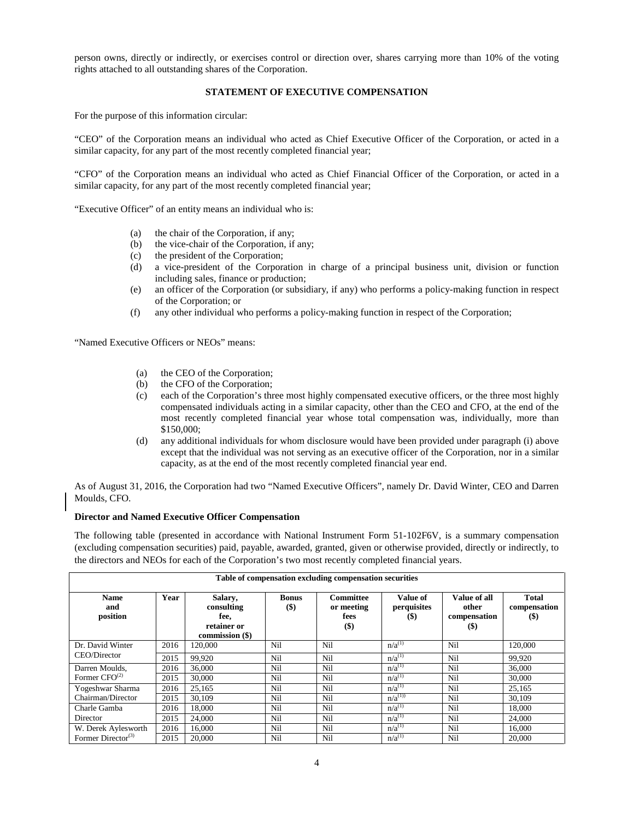person owns, directly or indirectly, or exercises control or direction over, shares carrying more than 10% of the voting rights attached to all outstanding shares of the Corporation.

## **STATEMENT OF EXECUTIVE COMPENSATION**

For the purpose of this information circular:

"CEO" of the Corporation means an individual who acted as Chief Executive Officer of the Corporation, or acted in a similar capacity, for any part of the most recently completed financial year;

"CFO" of the Corporation means an individual who acted as Chief Financial Officer of the Corporation, or acted in a similar capacity, for any part of the most recently completed financial year;

"Executive Officer" of an entity means an individual who is:

- (a) the chair of the Corporation, if any;
- (b) the vice-chair of the Corporation, if any;
- (c) the president of the Corporation;
- (d) a vice-president of the Corporation in charge of a principal business unit, division or function including sales, finance or production;
- (e) an officer of the Corporation (or subsidiary, if any) who performs a policy-making function in respect of the Corporation; or
- (f) any other individual who performs a policy-making function in respect of the Corporation;

"Named Executive Officers or NEOs" means:

- (a) the CEO of the Corporation;
- (b) the CFO of the Corporation;
- (c) each of the Corporation's three most highly compensated executive officers, or the three most highly compensated individuals acting in a similar capacity, other than the CEO and CFO, at the end of the most recently completed financial year whose total compensation was, individually, more than \$150,000;
- (d) any additional individuals for whom disclosure would have been provided under paragraph (i) above except that the individual was not serving as an executive officer of the Corporation, nor in a similar capacity, as at the end of the most recently completed financial year end.

As of August 31, 2016, the Corporation had two "Named Executive Officers", namely Dr. David Winter, CEO and Darren Moulds, CFO.

#### **Director and Named Executive Officer Compensation**

The following table (presented in accordance with National Instrument Form 51-102F6V, is a summary compensation (excluding compensation securities) paid, payable, awarded, granted, given or otherwise provided, directly or indirectly, to the directors and NEOs for each of the Corporation's two most recently completed financial years.

| Table of compensation excluding compensation securities |      |                                                                 |                       |                                            |                                   |                                                  |                                                             |  |
|---------------------------------------------------------|------|-----------------------------------------------------------------|-----------------------|--------------------------------------------|-----------------------------------|--------------------------------------------------|-------------------------------------------------------------|--|
| <b>Name</b><br>and<br>position                          | Year | Salary,<br>consulting<br>fee,<br>retainer or<br>commission (\$) | <b>Bonus</b><br>$($)$ | Committee<br>or meeting<br>fees<br>$($ \$) | Value of<br>perquisites<br>$(\$)$ | Value of all<br>other<br>compensation<br>$($ \$) | <b>Total</b><br>compensation<br>$\left( \mathbf{\$}\right)$ |  |
| Dr. David Winter                                        | 2016 | 120.000                                                         | Nil                   | Nil                                        | $n/a^{(1)}$                       | Nil                                              | 120,000                                                     |  |
| CEO/Director                                            | 2015 | 99.920                                                          | Nil                   | Nil                                        | $n/a^{(1)}$                       | Nil                                              | 99.920                                                      |  |
| Darren Moulds.                                          | 2016 | 36,000                                                          | Nil                   | Nil                                        | $n/a^{(1)}$                       | Nil                                              | 36,000                                                      |  |
| Former $CFO^{(2)}$                                      | 2015 | 30,000                                                          | Nil                   | Nil                                        | $n/a^{(1)}$                       | Nil                                              | 30,000                                                      |  |
| Yogeshwar Sharma                                        | 2016 | 25,165                                                          | Nil                   | Nil                                        | $n/a^{(1)}$                       | Nil                                              | 25,165                                                      |  |
| Chairman/Director                                       | 2015 | 30.109                                                          | Nil                   | Nil                                        | $n/a^{(1)}$                       | Nil                                              | 30,109                                                      |  |
| Charle Gamba                                            | 2016 | 18,000                                                          | Nil                   | Nil                                        | $n/a^{(1)}$                       | Nil                                              | 18.000                                                      |  |
| Director                                                | 2015 | 24,000                                                          | Nil                   | Nil                                        | $n/a^{(1)}$                       | Nil                                              | 24,000                                                      |  |
| W. Derek Aylesworth                                     | 2016 | 16.000                                                          | Nil                   | Nil                                        | $n/a^{(1)}$                       | Nil                                              | 16.000                                                      |  |
| Former Director <sup>(3)</sup>                          | 2015 | 20,000                                                          | Nil                   | Nil                                        | $n/a^{(1)}$                       | Nil                                              | 20,000                                                      |  |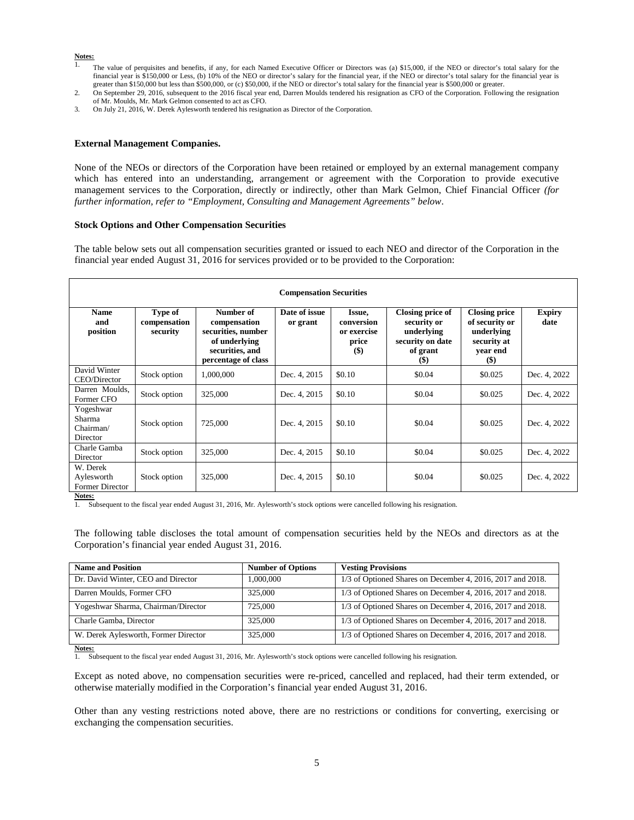#### **Notes:**

- <sup>1</sup>. The value of perquisites and benefits, if any, for each Named Executive Officer or Directors was (a) \$15,000, if the NEO or director's total salary for the financial year is \$150,000 or Less, (b) 10% of the NEO or director's salary for the financial year, if the NEO or director's total salary for the financial year is greater than \$150,000 but less than \$500,000, or (c) \$50,000, if the NEO or director's total salary for the financial year is \$500,000 or greater.
- 2. On September 29, 2016, subsequent to the 2016 fiscal year end, Darren Moulds tendered his resignation as CFO of the Corporation. Following the resignation of Mr. Moulds, Mr. Mark Gelmon consented to act as CFO.
- 3. On July 21, 2016, W. Derek Aylesworth tendered his resignation as Director of the Corporation.

#### **External Management Companies.**

None of the NEOs or directors of the Corporation have been retained or employed by an external management company which has entered into an understanding, arrangement or agreement with the Corporation to provide executive management services to the Corporation, directly or indirectly, other than Mark Gelmon, Chief Financial Officer *(for further information, refer to "Employment, Consulting and Management Agreements" below*.

#### **Stock Options and Other Compensation Securities**

The table below sets out all compensation securities granted or issued to each NEO and director of the Corporation in the financial year ended August 31, 2016 for services provided or to be provided to the Corporation:

| <b>Compensation Securities</b>                   |                                     |                                                                                                            |                           |                                                                            |                                                                                          |                                                                                                |                       |
|--------------------------------------------------|-------------------------------------|------------------------------------------------------------------------------------------------------------|---------------------------|----------------------------------------------------------------------------|------------------------------------------------------------------------------------------|------------------------------------------------------------------------------------------------|-----------------------|
| <b>Name</b><br>and<br>position                   | Type of<br>compensation<br>security | Number of<br>compensation<br>securities, number<br>of underlying<br>securities, and<br>percentage of class | Date of issue<br>or grant | Issue,<br>conversion<br>or exercise<br>price<br>$\left( \mathbb{S}\right)$ | Closing price of<br>security or<br>underlying<br>security on date<br>of grant<br>$($ \$) | <b>Closing price</b><br>of security or<br>underlying<br>security at<br>year end<br><b>(\$)</b> | <b>Expiry</b><br>date |
| David Winter<br>CEO/Director                     | Stock option                        | 1,000,000                                                                                                  | Dec. 4, 2015              | \$0.10                                                                     | \$0.04                                                                                   | \$0.025                                                                                        | Dec. 4, 2022          |
| Darren Moulds.<br>Former CFO                     | Stock option                        | 325,000                                                                                                    | Dec. 4, 2015              | \$0.10                                                                     | \$0.04                                                                                   | \$0.025                                                                                        | Dec. 4, 2022          |
| Yogeshwar<br>Sharma<br>Chairman/<br>Director     | Stock option                        | 725,000                                                                                                    | Dec. 4, 2015              | \$0.10                                                                     | \$0.04                                                                                   | \$0.025                                                                                        | Dec. 4, 2022          |
| Charle Gamba<br>Director                         | Stock option                        | 325,000                                                                                                    | Dec. 4, 2015              | \$0.10                                                                     | \$0.04                                                                                   | \$0.025                                                                                        | Dec. 4, 2022          |
| W. Derek<br>Aylesworth<br><b>Former Director</b> | Stock option                        | 325,000                                                                                                    | Dec. 4, 2015              | \$0.10                                                                     | \$0.04                                                                                   | \$0.025                                                                                        | Dec. 4, 2022          |

**Notes:**

1. Subsequent to the fiscal year ended August 31, 2016, Mr. Aylesworth's stock options were cancelled following his resignation.

The following table discloses the total amount of compensation securities held by the NEOs and directors as at the Corporation's financial year ended August 31, 2016.

| <b>Name and Position</b>             | <b>Number of Options</b> | <b>Vesting Provisions</b>                                    |
|--------------------------------------|--------------------------|--------------------------------------------------------------|
| Dr. David Winter, CEO and Director   | 1,000,000                | $1/3$ of Optioned Shares on December 4, 2016, 2017 and 2018. |
| Darren Moulds, Former CFO            | 325,000                  | $1/3$ of Optioned Shares on December 4, 2016, 2017 and 2018. |
| Yogeshwar Sharma, Chairman/Director  | 725,000                  | 1/3 of Optioned Shares on December 4, 2016, 2017 and 2018.   |
| Charle Gamba, Director               | 325,000                  | $1/3$ of Optioned Shares on December 4, 2016, 2017 and 2018. |
| W. Derek Aylesworth, Former Director | 325,000                  | $1/3$ of Optioned Shares on December 4, 2016, 2017 and 2018. |

**Notes:**

1. Subsequent to the fiscal year ended August 31, 2016, Mr. Aylesworth's stock options were cancelled following his resignation.

Except as noted above, no compensation securities were re-priced, cancelled and replaced, had their term extended, or otherwise materially modified in the Corporation's financial year ended August 31, 2016.

Other than any vesting restrictions noted above, there are no restrictions or conditions for converting, exercising or exchanging the compensation securities.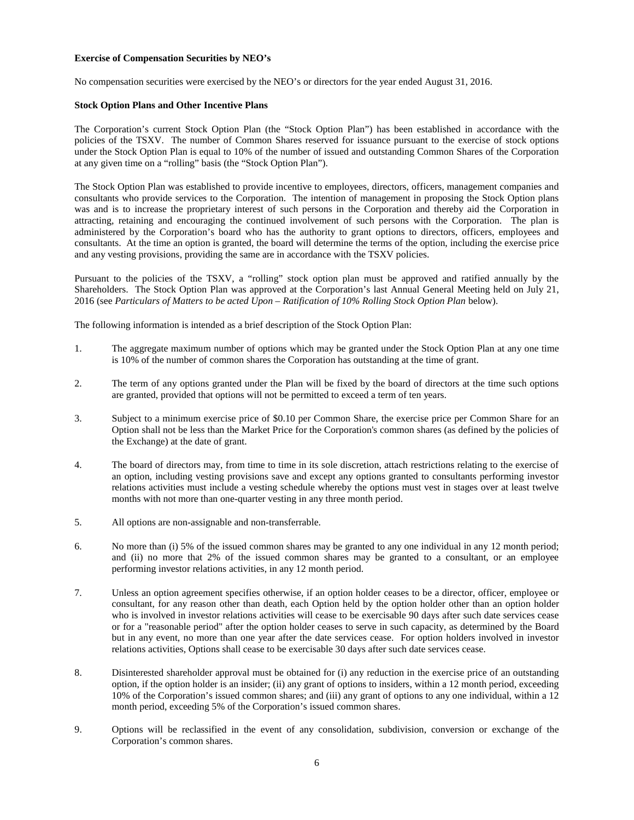#### **Exercise of Compensation Securities by NEO's**

No compensation securities were exercised by the NEO's or directors for the year ended August 31, 2016.

#### **Stock Option Plans and Other Incentive Plans**

The Corporation's current Stock Option Plan (the "Stock Option Plan") has been established in accordance with the policies of the TSXV. The number of Common Shares reserved for issuance pursuant to the exercise of stock options under the Stock Option Plan is equal to 10% of the number of issued and outstanding Common Shares of the Corporation at any given time on a "rolling" basis (the "Stock Option Plan").

The Stock Option Plan was established to provide incentive to employees, directors, officers, management companies and consultants who provide services to the Corporation. The intention of management in proposing the Stock Option plans was and is to increase the proprietary interest of such persons in the Corporation and thereby aid the Corporation in attracting, retaining and encouraging the continued involvement of such persons with the Corporation. The plan is administered by the Corporation's board who has the authority to grant options to directors, officers, employees and consultants. At the time an option is granted, the board will determine the terms of the option, including the exercise price and any vesting provisions, providing the same are in accordance with the TSXV policies.

Pursuant to the policies of the TSXV, a "rolling" stock option plan must be approved and ratified annually by the Shareholders. The Stock Option Plan was approved at the Corporation's last Annual General Meeting held on July 21, 2016 (see *Particulars of Matters to be acted Upon – Ratification of 10% Rolling Stock Option Plan* below).

The following information is intended as a brief description of the Stock Option Plan:

- 1. The aggregate maximum number of options which may be granted under the Stock Option Plan at any one time is 10% of the number of common shares the Corporation has outstanding at the time of grant.
- 2. The term of any options granted under the Plan will be fixed by the board of directors at the time such options are granted, provided that options will not be permitted to exceed a term of ten years.
- 3. Subject to a minimum exercise price of \$0.10 per Common Share, the exercise price per Common Share for an Option shall not be less than the Market Price for the Corporation's common shares (as defined by the policies of the Exchange) at the date of grant.
- 4. The board of directors may, from time to time in its sole discretion, attach restrictions relating to the exercise of an option, including vesting provisions save and except any options granted to consultants performing investor relations activities must include a vesting schedule whereby the options must vest in stages over at least twelve months with not more than one-quarter vesting in any three month period.
- 5. All options are non-assignable and non-transferrable.
- 6. No more than (i) 5% of the issued common shares may be granted to any one individual in any 12 month period; and (ii) no more that 2% of the issued common shares may be granted to a consultant, or an employee performing investor relations activities, in any 12 month period.
- 7. Unless an option agreement specifies otherwise, if an option holder ceases to be a director, officer, employee or consultant, for any reason other than death, each Option held by the option holder other than an option holder who is involved in investor relations activities will cease to be exercisable 90 days after such date services cease or for a "reasonable period" after the option holder ceases to serve in such capacity, as determined by the Board but in any event, no more than one year after the date services cease. For option holders involved in investor relations activities, Options shall cease to be exercisable 30 days after such date services cease.
- 8. Disinterested shareholder approval must be obtained for (i) any reduction in the exercise price of an outstanding option, if the option holder is an insider; (ii) any grant of options to insiders, within a 12 month period, exceeding 10% of the Corporation's issued common shares; and (iii) any grant of options to any one individual, within a 12 month period, exceeding 5% of the Corporation's issued common shares.
- 9. Options will be reclassified in the event of any consolidation, subdivision, conversion or exchange of the Corporation's common shares.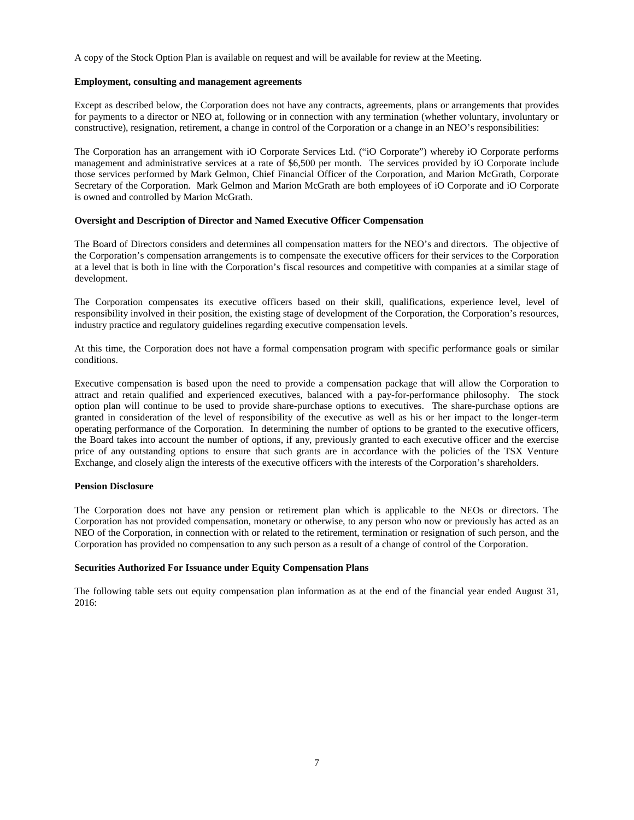A copy of the Stock Option Plan is available on request and will be available for review at the Meeting.

#### **Employment, consulting and management agreements**

Except as described below, the Corporation does not have any contracts, agreements, plans or arrangements that provides for payments to a director or NEO at, following or in connection with any termination (whether voluntary, involuntary or constructive), resignation, retirement, a change in control of the Corporation or a change in an NEO's responsibilities:

The Corporation has an arrangement with iO Corporate Services Ltd. ("iO Corporate") whereby iO Corporate performs management and administrative services at a rate of \$6,500 per month. The services provided by iO Corporate include those services performed by Mark Gelmon, Chief Financial Officer of the Corporation, and Marion McGrath, Corporate Secretary of the Corporation. Mark Gelmon and Marion McGrath are both employees of iO Corporate and iO Corporate is owned and controlled by Marion McGrath.

#### **Oversight and Description of Director and Named Executive Officer Compensation**

The Board of Directors considers and determines all compensation matters for the NEO's and directors. The objective of the Corporation's compensation arrangements is to compensate the executive officers for their services to the Corporation at a level that is both in line with the Corporation's fiscal resources and competitive with companies at a similar stage of development.

The Corporation compensates its executive officers based on their skill, qualifications, experience level, level of responsibility involved in their position, the existing stage of development of the Corporation, the Corporation's resources, industry practice and regulatory guidelines regarding executive compensation levels.

At this time, the Corporation does not have a formal compensation program with specific performance goals or similar conditions.

Executive compensation is based upon the need to provide a compensation package that will allow the Corporation to attract and retain qualified and experienced executives, balanced with a pay-for-performance philosophy. The stock option plan will continue to be used to provide share-purchase options to executives. The share-purchase options are granted in consideration of the level of responsibility of the executive as well as his or her impact to the longer-term operating performance of the Corporation. In determining the number of options to be granted to the executive officers, the Board takes into account the number of options, if any, previously granted to each executive officer and the exercise price of any outstanding options to ensure that such grants are in accordance with the policies of the TSX Venture Exchange, and closely align the interests of the executive officers with the interests of the Corporation's shareholders.

## **Pension Disclosure**

The Corporation does not have any pension or retirement plan which is applicable to the NEOs or directors. The Corporation has not provided compensation, monetary or otherwise, to any person who now or previously has acted as an NEO of the Corporation, in connection with or related to the retirement, termination or resignation of such person, and the Corporation has provided no compensation to any such person as a result of a change of control of the Corporation.

#### **Securities Authorized For Issuance under Equity Compensation Plans**

The following table sets out equity compensation plan information as at the end of the financial year ended August 31, 2016: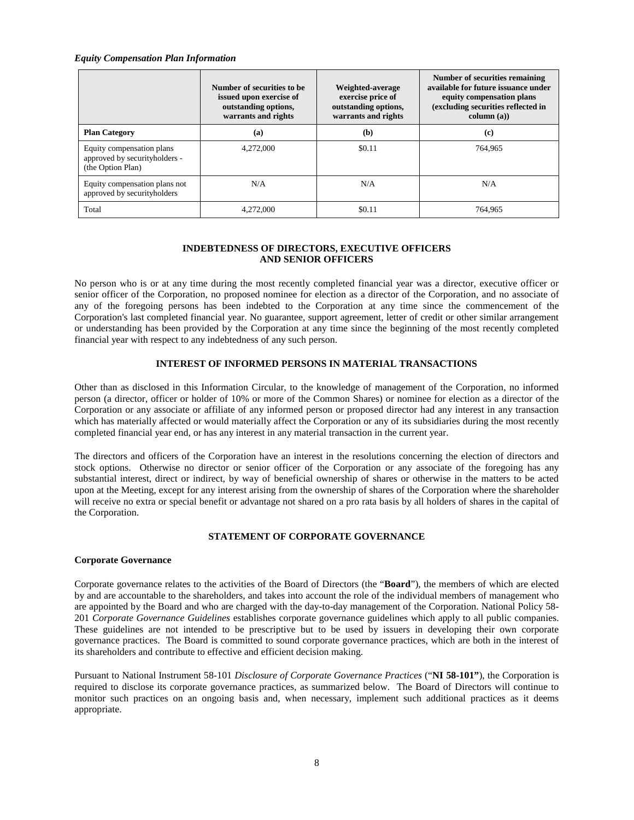#### *Equity Compensation Plan Information*

|                                                                                 | Number of securities to be.<br>issued upon exercise of<br>outstanding options,<br>warrants and rights | Weighted-average<br>exercise price of<br>outstanding options,<br>warrants and rights | Number of securities remaining<br>available for future issuance under<br>equity compensation plans<br>(excluding securities reflected in<br>column (a)) |
|---------------------------------------------------------------------------------|-------------------------------------------------------------------------------------------------------|--------------------------------------------------------------------------------------|---------------------------------------------------------------------------------------------------------------------------------------------------------|
| <b>Plan Category</b>                                                            | (a)                                                                                                   | (b)                                                                                  | (c)                                                                                                                                                     |
| Equity compensation plans<br>approved by securityholders -<br>(the Option Plan) | 4.272,000                                                                                             | \$0.11                                                                               | 764.965                                                                                                                                                 |
| N/A<br>Equity compensation plans not<br>approved by securityholders             |                                                                                                       | N/A                                                                                  | N/A                                                                                                                                                     |
| Total                                                                           | 4,272,000                                                                                             | \$0.11                                                                               | 764.965                                                                                                                                                 |

## **INDEBTEDNESS OF DIRECTORS, EXECUTIVE OFFICERS AND SENIOR OFFICERS**

No person who is or at any time during the most recently completed financial year was a director, executive officer or senior officer of the Corporation, no proposed nominee for election as a director of the Corporation, and no associate of any of the foregoing persons has been indebted to the Corporation at any time since the commencement of the Corporation's last completed financial year. No guarantee, support agreement, letter of credit or other similar arrangement or understanding has been provided by the Corporation at any time since the beginning of the most recently completed financial year with respect to any indebtedness of any such person.

## **INTEREST OF INFORMED PERSONS IN MATERIAL TRANSACTIONS**

Other than as disclosed in this Information Circular, to the knowledge of management of the Corporation, no informed person (a director, officer or holder of 10% or more of the Common Shares) or nominee for election as a director of the Corporation or any associate or affiliate of any informed person or proposed director had any interest in any transaction which has materially affected or would materially affect the Corporation or any of its subsidiaries during the most recently completed financial year end, or has any interest in any material transaction in the current year.

The directors and officers of the Corporation have an interest in the resolutions concerning the election of directors and stock options. Otherwise no director or senior officer of the Corporation or any associate of the foregoing has any substantial interest, direct or indirect, by way of beneficial ownership of shares or otherwise in the matters to be acted upon at the Meeting, except for any interest arising from the ownership of shares of the Corporation where the shareholder will receive no extra or special benefit or advantage not shared on a pro rata basis by all holders of shares in the capital of the Corporation.

## **STATEMENT OF CORPORATE GOVERNANCE**

## **Corporate Governance**

Corporate governance relates to the activities of the Board of Directors (the "**Board**"), the members of which are elected by and are accountable to the shareholders, and takes into account the role of the individual members of management who are appointed by the Board and who are charged with the day-to-day management of the Corporation. National Policy 58- 201 *Corporate Governance Guidelines* establishes corporate governance guidelines which apply to all public companies. These guidelines are not intended to be prescriptive but to be used by issuers in developing their own corporate governance practices. The Board is committed to sound corporate governance practices, which are both in the interest of its shareholders and contribute to effective and efficient decision making.

Pursuant to National Instrument 58-101 *Disclosure of Corporate Governance Practices* ("**NI 58-101"**), the Corporation is required to disclose its corporate governance practices, as summarized below. The Board of Directors will continue to monitor such practices on an ongoing basis and, when necessary, implement such additional practices as it deems appropriate.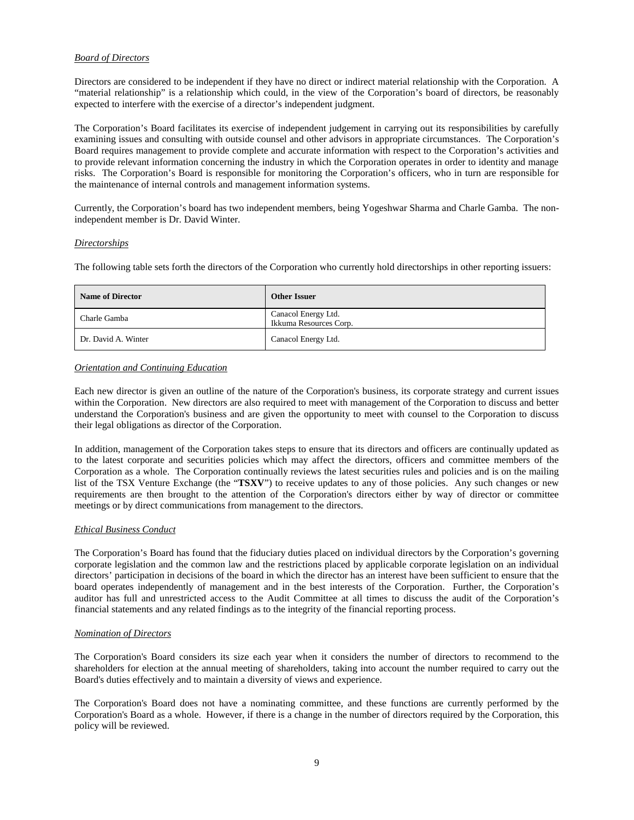## *Board of Directors*

Directors are considered to be independent if they have no direct or indirect material relationship with the Corporation. A "material relationship" is a relationship which could, in the view of the Corporation's board of directors, be reasonably expected to interfere with the exercise of a director's independent judgment.

The Corporation's Board facilitates its exercise of independent judgement in carrying out its responsibilities by carefully examining issues and consulting with outside counsel and other advisors in appropriate circumstances. The Corporation's Board requires management to provide complete and accurate information with respect to the Corporation's activities and to provide relevant information concerning the industry in which the Corporation operates in order to identity and manage risks. The Corporation's Board is responsible for monitoring the Corporation's officers, who in turn are responsible for the maintenance of internal controls and management information systems.

Currently, the Corporation's board has two independent members, being Yogeshwar Sharma and Charle Gamba. The nonindependent member is Dr. David Winter.

## *Directorships*

The following table sets forth the directors of the Corporation who currently hold directorships in other reporting issuers:

| <b>Name of Director</b> | <b>Other Issuer</b>                           |  |  |
|-------------------------|-----------------------------------------------|--|--|
| Charle Gamba            | Canacol Energy Ltd.<br>Ikkuma Resources Corp. |  |  |
| Dr. David A. Winter     | Canacol Energy Ltd.                           |  |  |

## *Orientation and Continuing Education*

Each new director is given an outline of the nature of the Corporation's business, its corporate strategy and current issues within the Corporation. New directors are also required to meet with management of the Corporation to discuss and better understand the Corporation's business and are given the opportunity to meet with counsel to the Corporation to discuss their legal obligations as director of the Corporation.

In addition, management of the Corporation takes steps to ensure that its directors and officers are continually updated as to the latest corporate and securities policies which may affect the directors, officers and committee members of the Corporation as a whole. The Corporation continually reviews the latest securities rules and policies and is on the mailing list of the TSX Venture Exchange (the "**TSXV**") to receive updates to any of those policies. Any such changes or new requirements are then brought to the attention of the Corporation's directors either by way of director or committee meetings or by direct communications from management to the directors.

## *Ethical Business Conduct*

The Corporation's Board has found that the fiduciary duties placed on individual directors by the Corporation's governing corporate legislation and the common law and the restrictions placed by applicable corporate legislation on an individual directors' participation in decisions of the board in which the director has an interest have been sufficient to ensure that the board operates independently of management and in the best interests of the Corporation. Further, the Corporation's auditor has full and unrestricted access to the Audit Committee at all times to discuss the audit of the Corporation's financial statements and any related findings as to the integrity of the financial reporting process.

## *Nomination of Directors*

The Corporation's Board considers its size each year when it considers the number of directors to recommend to the shareholders for election at the annual meeting of shareholders, taking into account the number required to carry out the Board's duties effectively and to maintain a diversity of views and experience.

The Corporation's Board does not have a nominating committee, and these functions are currently performed by the Corporation's Board as a whole. However, if there is a change in the number of directors required by the Corporation, this policy will be reviewed.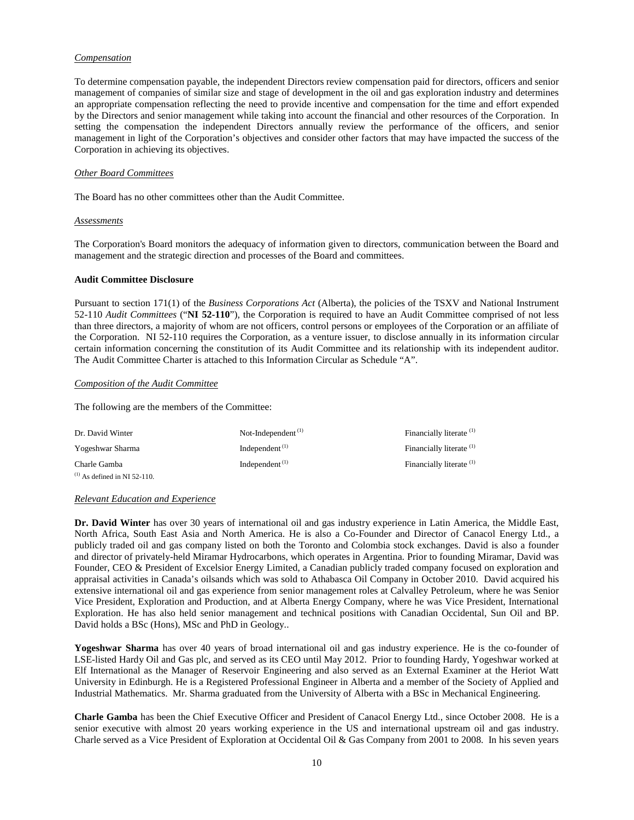#### *Compensation*

To determine compensation payable, the independent Directors review compensation paid for directors, officers and senior management of companies of similar size and stage of development in the oil and gas exploration industry and determines an appropriate compensation reflecting the need to provide incentive and compensation for the time and effort expended by the Directors and senior management while taking into account the financial and other resources of the Corporation. In setting the compensation the independent Directors annually review the performance of the officers, and senior management in light of the Corporation's objectives and consider other factors that may have impacted the success of the Corporation in achieving its objectives.

#### *Other Board Committees*

The Board has no other committees other than the Audit Committee.

#### *Assessments*

The Corporation's Board monitors the adequacy of information given to directors, communication between the Board and management and the strategic direction and processes of the Board and committees.

## **Audit Committee Disclosure**

Pursuant to section 171(1) of the *Business Corporations Act* (Alberta), the policies of the TSXV and National Instrument 52-110 *Audit Committees* ("**NI 52-110**")*,* the Corporation is required to have an Audit Committee comprised of not less than three directors, a majority of whom are not officers, control persons or employees of the Corporation or an affiliate of the Corporation. NI 52-110 requires the Corporation, as a venture issuer, to disclose annually in its information circular certain information concerning the constitution of its Audit Committee and its relationship with its independent auditor. The Audit Committee Charter is attached to this Information Circular as Schedule "A".

#### *Composition of the Audit Committee*

The following are the members of the Committee:

| Dr. David Winter                  | Not-Independent $(1)$ | Financially literate <sup>(1)</sup> |
|-----------------------------------|-----------------------|-------------------------------------|
| Yogeshwar Sharma                  | Independent $(1)$     | Financially literate <sup>(1)</sup> |
| Charle Gamba                      | Independent $(1)$     | Financially literate <sup>(1)</sup> |
| $^{(1)}$ As defined in NI 52-110. |                       |                                     |

#### *Relevant Education and Experience*

**Dr. David Winter** has over 30 years of international oil and gas industry experience in Latin America, the Middle East, North Africa, South East Asia and North America. He is also a Co-Founder and Director of Canacol Energy Ltd., a publicly traded oil and gas company listed on both the Toronto and Colombia stock exchanges. David is also a founder and director of privately-held Miramar Hydrocarbons, which operates in Argentina. Prior to founding Miramar, David was Founder, CEO & President of Excelsior Energy Limited, a Canadian publicly traded company focused on exploration and appraisal activities in Canada's oilsands which was sold to Athabasca Oil Company in October 2010. David acquired his extensive international oil and gas experience from senior management roles at Calvalley Petroleum, where he was Senior Vice President, Exploration and Production, and at Alberta Energy Company, where he was Vice President, International Exploration. He has also held senior management and technical positions with Canadian Occidental, Sun Oil and BP. David holds a BSc (Hons), MSc and PhD in Geology..

**Yogeshwar Sharma** has over 40 years of broad international oil and gas industry experience. He is the co-founder of LSE-listed Hardy Oil and Gas plc, and served as its CEO until May 2012. Prior to founding Hardy, Yogeshwar worked at Elf International as the Manager of Reservoir Engineering and also served as an External Examiner at the Heriot Watt University in Edinburgh. He is a Registered Professional Engineer in Alberta and a member of the Society of Applied and Industrial Mathematics. Mr. Sharma graduated from the University of Alberta with a BSc in Mechanical Engineering.

**Charle Gamba** has been the Chief Executive Officer and President of Canacol Energy Ltd., since October 2008. He is a senior executive with almost 20 years working experience in the US and international upstream oil and gas industry. Charle served as a Vice President of Exploration at Occidental Oil & Gas Company from 2001 to 2008. In his seven years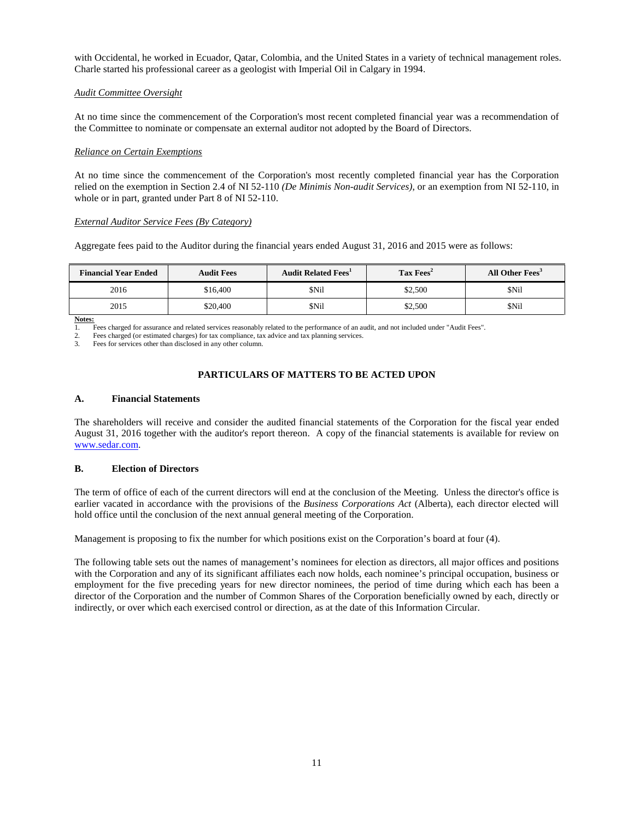with Occidental, he worked in Ecuador, Qatar, Colombia, and the United States in a variety of technical management roles. Charle started his professional career as a geologist with Imperial Oil in Calgary in 1994.

## *Audit Committee Oversight*

At no time since the commencement of the Corporation's most recent completed financial year was a recommendation of the Committee to nominate or compensate an external auditor not adopted by the Board of Directors.

#### *Reliance on Certain Exemptions*

At no time since the commencement of the Corporation's most recently completed financial year has the Corporation relied on the exemption in Section 2.4 of NI 52-110 *(De Minimis Non-audit Services)*, or an exemption from NI 52-110, in whole or in part, granted under Part 8 of NI 52-110.

#### *External Auditor Service Fees (By Category)*

Aggregate fees paid to the Auditor during the financial years ended August 31, 2016 and 2015 were as follows:

| <b>Financial Year Ended</b> | <b>Audit Fees</b> | <b>Audit Related Fees</b> <sup>1</sup> | $\rm\, Tax\, Fees^2$ | All Other Fees <sup>3</sup> |
|-----------------------------|-------------------|----------------------------------------|----------------------|-----------------------------|
| 2016                        | \$16.400          | \$Nil                                  | \$2,500              | \$Nil                       |
| 2015                        | \$20,400          | \$Nil                                  | \$2,500              | \$Nil                       |

**Notes:**<br>1. **I** 

1. Fees charged for assurance and related services reasonably related to the performance of an audit, and not included under "Audit Fees".

2. Fees charged (or estimated charges) for tax compliance, tax advice and tax planning services.<br>
Fees for services other than disclosed in any other column

Fees for services other than disclosed in any other column.

## **PARTICULARS OF MATTERS TO BE ACTED UPON**

#### **A. Financial Statements**

The shareholders will receive and consider the audited financial statements of the Corporation for the fiscal year ended August 31, 2016 together with the auditor's report thereon. A copy of the financial statements is available for review on [www.sedar.com.](http://www.sedar.com/)

## **B. Election of Directors**

The term of office of each of the current directors will end at the conclusion of the Meeting. Unless the director's office is earlier vacated in accordance with the provisions of the *Business Corporations Act* (Alberta), each director elected will hold office until the conclusion of the next annual general meeting of the Corporation.

Management is proposing to fix the number for which positions exist on the Corporation's board at four (4).

The following table sets out the names of management's nominees for election as directors, all major offices and positions with the Corporation and any of its significant affiliates each now holds, each nominee's principal occupation, business or employment for the five preceding years for new director nominees, the period of time during which each has been a director of the Corporation and the number of Common Shares of the Corporation beneficially owned by each, directly or indirectly, or over which each exercised control or direction, as at the date of this Information Circular.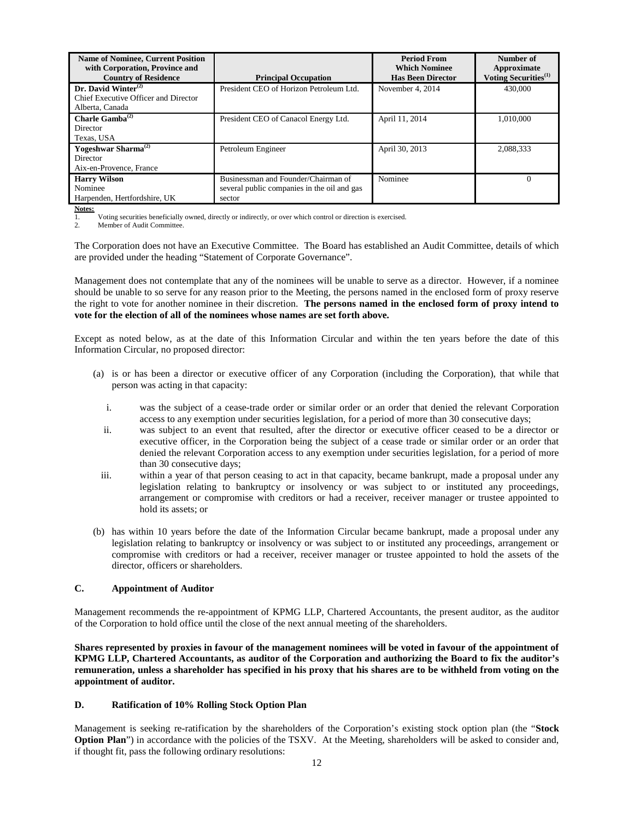| <b>Name of Nominee, Current Position</b><br>with Corporation, Province and |                                             | <b>Period From</b><br><b>Which Nominee</b> | Number of<br>Approximate         |  |
|----------------------------------------------------------------------------|---------------------------------------------|--------------------------------------------|----------------------------------|--|
| <b>Country of Residence</b>                                                | <b>Principal Occupation</b>                 | <b>Has Been Director</b>                   | Voting Securities <sup>(1)</sup> |  |
| $Dr.$ David Winter <sup>(2)</sup>                                          | President CEO of Horizon Petroleum Ltd.     | November 4, 2014                           | 430,000                          |  |
| Chief Executive Officer and Director                                       |                                             |                                            |                                  |  |
| Alberta, Canada                                                            |                                             |                                            |                                  |  |
| Charle Gamba $^{(2)}$                                                      | President CEO of Canacol Energy Ltd.        | April 11, 2014                             | 1.010.000                        |  |
| <b>Director</b>                                                            |                                             |                                            |                                  |  |
| Texas, USA                                                                 |                                             |                                            |                                  |  |
| Yogeshwar Sharma <sup>(2)</sup>                                            | Petroleum Engineer                          | April 30, 2013                             | 2,088,333                        |  |
| Director                                                                   |                                             |                                            |                                  |  |
| Aix-en-Provence, France                                                    |                                             |                                            |                                  |  |
| <b>Harry Wilson</b>                                                        | Businessman and Founder/Chairman of         | Nominee                                    | 0                                |  |
| Nominee                                                                    | several public companies in the oil and gas |                                            |                                  |  |
| Harpenden, Hertfordshire, UK                                               | sector                                      |                                            |                                  |  |

**<u>Notes:</u>**<br>1.

1. Voting securities beneficially owned, directly or indirectly, or over which control or direction is exercised.

Member of Audit Committee.

The Corporation does not have an Executive Committee. The Board has established an Audit Committee, details of which are provided under the heading "Statement of Corporate Governance".

Management does not contemplate that any of the nominees will be unable to serve as a director. However, if a nominee should be unable to so serve for any reason prior to the Meeting, the persons named in the enclosed form of proxy reserve the right to vote for another nominee in their discretion. **The persons named in the enclosed form of proxy intend to vote for the election of all of the nominees whose names are set forth above.**

Except as noted below, as at the date of this Information Circular and within the ten years before the date of this Information Circular, no proposed director:

- (a) is or has been a director or executive officer of any Corporation (including the Corporation), that while that person was acting in that capacity:
	- i. was the subject of a cease-trade order or similar order or an order that denied the relevant Corporation access to any exemption under securities legislation, for a period of more than 30 consecutive days;
	- ii. was subject to an event that resulted, after the director or executive officer ceased to be a director or executive officer, in the Corporation being the subject of a cease trade or similar order or an order that denied the relevant Corporation access to any exemption under securities legislation, for a period of more than 30 consecutive days;
	- iii. within a year of that person ceasing to act in that capacity, became bankrupt, made a proposal under any legislation relating to bankruptcy or insolvency or was subject to or instituted any proceedings, arrangement or compromise with creditors or had a receiver, receiver manager or trustee appointed to hold its assets; or
- (b) has within 10 years before the date of the Information Circular became bankrupt, made a proposal under any legislation relating to bankruptcy or insolvency or was subject to or instituted any proceedings, arrangement or compromise with creditors or had a receiver, receiver manager or trustee appointed to hold the assets of the director, officers or shareholders.

## **C. Appointment of Auditor**

Management recommends the re-appointment of KPMG LLP, Chartered Accountants, the present auditor, as the auditor of the Corporation to hold office until the close of the next annual meeting of the shareholders.

**Shares represented by proxies in favour of the management nominees will be voted in favour of the appointment of KPMG LLP, Chartered Accountants, as auditor of the Corporation and authorizing the Board to fix the auditor's remuneration, unless a shareholder has specified in his proxy that his shares are to be withheld from voting on the appointment of auditor.**

#### **D. Ratification of 10% Rolling Stock Option Plan**

Management is seeking re-ratification by the shareholders of the Corporation's existing stock option plan (the "**Stock Option Plan**") in accordance with the policies of the TSXV. At the Meeting, shareholders will be asked to consider and, if thought fit, pass the following ordinary resolutions: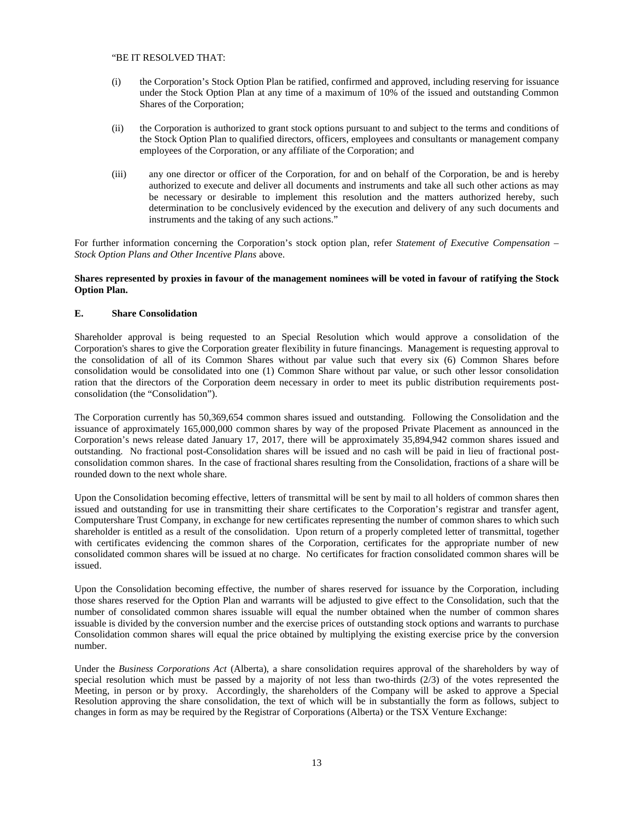#### "BE IT RESOLVED THAT:

- (i) the Corporation's Stock Option Plan be ratified, confirmed and approved, including reserving for issuance under the Stock Option Plan at any time of a maximum of 10% of the issued and outstanding Common Shares of the Corporation;
- (ii) the Corporation is authorized to grant stock options pursuant to and subject to the terms and conditions of the Stock Option Plan to qualified directors, officers, employees and consultants or management company employees of the Corporation, or any affiliate of the Corporation; and
- (iii) any one director or officer of the Corporation, for and on behalf of the Corporation, be and is hereby authorized to execute and deliver all documents and instruments and take all such other actions as may be necessary or desirable to implement this resolution and the matters authorized hereby, such determination to be conclusively evidenced by the execution and delivery of any such documents and instruments and the taking of any such actions."

For further information concerning the Corporation's stock option plan, refer *Statement of Executive Compensation – Stock Option Plans and Other Incentive Plans* above.

#### **Shares represented by proxies in favour of the management nominees will be voted in favour of ratifying the Stock Option Plan.**

## **E. Share Consolidation**

Shareholder approval is being requested to an Special Resolution which would approve a consolidation of the Corporation's shares to give the Corporation greater flexibility in future financings. Management is requesting approval to the consolidation of all of its Common Shares without par value such that every six (6) Common Shares before consolidation would be consolidated into one (1) Common Share without par value, or such other lessor consolidation ration that the directors of the Corporation deem necessary in order to meet its public distribution requirements postconsolidation (the "Consolidation").

The Corporation currently has 50,369,654 common shares issued and outstanding. Following the Consolidation and the issuance of approximately 165,000,000 common shares by way of the proposed Private Placement as announced in the Corporation's news release dated January 17, 2017, there will be approximately 35,894,942 common shares issued and outstanding. No fractional post-Consolidation shares will be issued and no cash will be paid in lieu of fractional postconsolidation common shares. In the case of fractional shares resulting from the Consolidation, fractions of a share will be rounded down to the next whole share.

Upon the Consolidation becoming effective, letters of transmittal will be sent by mail to all holders of common shares then issued and outstanding for use in transmitting their share certificates to the Corporation's registrar and transfer agent, Computershare Trust Company, in exchange for new certificates representing the number of common shares to which such shareholder is entitled as a result of the consolidation. Upon return of a properly completed letter of transmittal, together with certificates evidencing the common shares of the Corporation, certificates for the appropriate number of new consolidated common shares will be issued at no charge. No certificates for fraction consolidated common shares will be issued.

Upon the Consolidation becoming effective, the number of shares reserved for issuance by the Corporation, including those shares reserved for the Option Plan and warrants will be adjusted to give effect to the Consolidation, such that the number of consolidated common shares issuable will equal the number obtained when the number of common shares issuable is divided by the conversion number and the exercise prices of outstanding stock options and warrants to purchase Consolidation common shares will equal the price obtained by multiplying the existing exercise price by the conversion number.

Under the *Business Corporations Act* (Alberta), a share consolidation requires approval of the shareholders by way of special resolution which must be passed by a majority of not less than two-thirds (2/3) of the votes represented the Meeting, in person or by proxy. Accordingly, the shareholders of the Company will be asked to approve a Special Resolution approving the share consolidation, the text of which will be in substantially the form as follows, subject to changes in form as may be required by the Registrar of Corporations (Alberta) or the TSX Venture Exchange: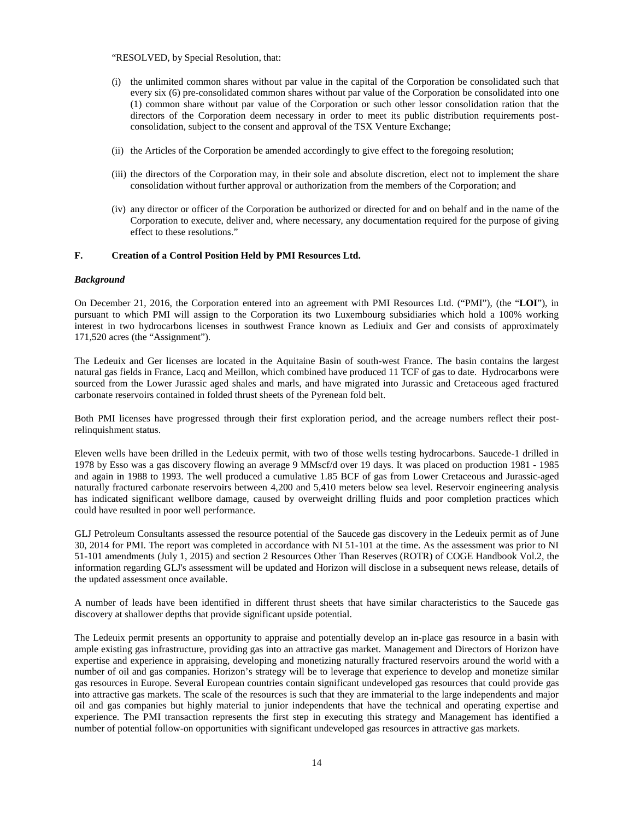"RESOLVED, by Special Resolution, that:

- (i) the unlimited common shares without par value in the capital of the Corporation be consolidated such that every six (6) pre-consolidated common shares without par value of the Corporation be consolidated into one (1) common share without par value of the Corporation or such other lessor consolidation ration that the directors of the Corporation deem necessary in order to meet its public distribution requirements postconsolidation, subject to the consent and approval of the TSX Venture Exchange;
- (ii) the Articles of the Corporation be amended accordingly to give effect to the foregoing resolution;
- (iii) the directors of the Corporation may, in their sole and absolute discretion, elect not to implement the share consolidation without further approval or authorization from the members of the Corporation; and
- (iv) any director or officer of the Corporation be authorized or directed for and on behalf and in the name of the Corporation to execute, deliver and, where necessary, any documentation required for the purpose of giving effect to these resolutions."

## **F. Creation of a Control Position Held by PMI Resources Ltd.**

#### *Background*

On December 21, 2016, the Corporation entered into an agreement with PMI Resources Ltd. ("PMI"), (the "**LOI**"), in pursuant to which PMI will assign to the Corporation its two Luxembourg subsidiaries which hold a 100% working interest in two hydrocarbons licenses in southwest France known as Lediuix and Ger and consists of approximately 171,520 acres (the "Assignment").

The Ledeuix and Ger licenses are located in the Aquitaine Basin of south-west France. The basin contains the largest natural gas fields in France, Lacq and Meillon, which combined have produced 11 TCF of gas to date. Hydrocarbons were sourced from the Lower Jurassic aged shales and marls, and have migrated into Jurassic and Cretaceous aged fractured carbonate reservoirs contained in folded thrust sheets of the Pyrenean fold belt.

Both PMI licenses have progressed through their first exploration period, and the acreage numbers reflect their postrelinquishment status.

Eleven wells have been drilled in the Ledeuix permit, with two of those wells testing hydrocarbons. Saucede-1 drilled in 1978 by Esso was a gas discovery flowing an average 9 MMscf/d over 19 days. It was placed on production 1981 - 1985 and again in 1988 to 1993. The well produced a cumulative 1.85 BCF of gas from Lower Cretaceous and Jurassic-aged naturally fractured carbonate reservoirs between 4,200 and 5,410 meters below sea level. Reservoir engineering analysis has indicated significant wellbore damage, caused by overweight drilling fluids and poor completion practices which could have resulted in poor well performance.

GLJ Petroleum Consultants assessed the resource potential of the Saucede gas discovery in the Ledeuix permit as of June 30, 2014 for PMI. The report was completed in accordance with NI 51-101 at the time. As the assessment was prior to NI 51-101 amendments (July 1, 2015) and section 2 Resources Other Than Reserves (ROTR) of COGE Handbook Vol.2, the information regarding GLJ's assessment will be updated and Horizon will disclose in a subsequent news release, details of the updated assessment once available.

A number of leads have been identified in different thrust sheets that have similar characteristics to the Saucede gas discovery at shallower depths that provide significant upside potential.

The Ledeuix permit presents an opportunity to appraise and potentially develop an in-place gas resource in a basin with ample existing gas infrastructure, providing gas into an attractive gas market. Management and Directors of Horizon have expertise and experience in appraising, developing and monetizing naturally fractured reservoirs around the world with a number of oil and gas companies. Horizon's strategy will be to leverage that experience to develop and monetize similar gas resources in Europe. Several European countries contain significant undeveloped gas resources that could provide gas into attractive gas markets. The scale of the resources is such that they are immaterial to the large independents and major oil and gas companies but highly material to junior independents that have the technical and operating expertise and experience. The PMI transaction represents the first step in executing this strategy and Management has identified a number of potential follow-on opportunities with significant undeveloped gas resources in attractive gas markets.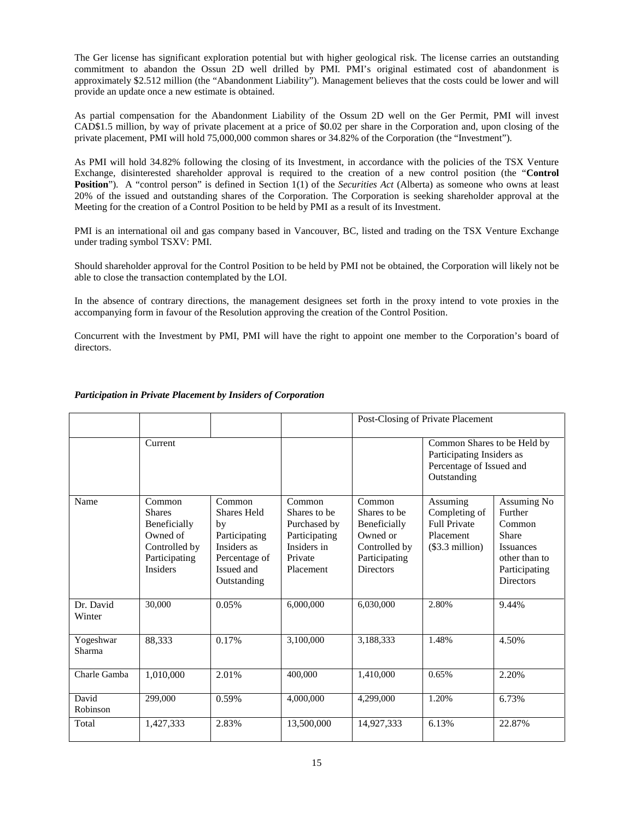The Ger license has significant exploration potential but with higher geological risk. The license carries an outstanding commitment to abandon the Ossun 2D well drilled by PMI. PMI's original estimated cost of abandonment is approximately \$2.512 million (the "Abandonment Liability"). Management believes that the costs could be lower and will provide an update once a new estimate is obtained.

As partial compensation for the Abandonment Liability of the Ossum 2D well on the Ger Permit, PMI will invest CAD\$1.5 million, by way of private placement at a price of \$0.02 per share in the Corporation and, upon closing of the private placement, PMI will hold 75,000,000 common shares or 34.82% of the Corporation (the "Investment").

As PMI will hold 34.82% following the closing of its Investment, in accordance with the policies of the TSX Venture Exchange, disinterested shareholder approval is required to the creation of a new control position (the "**Control Position**"). A "control person" is defined in Section 1(1) of the *Securities Act* (Alberta) as someone who owns at least 20% of the issued and outstanding shares of the Corporation. The Corporation is seeking shareholder approval at the Meeting for the creation of a Control Position to be held by PMI as a result of its Investment.

PMI is an international oil and gas company based in Vancouver, BC, listed and trading on the TSX Venture Exchange under trading symbol TSXV: PMI.

Should shareholder approval for the Control Position to be held by PMI not be obtained, the Corporation will likely not be able to close the transaction contemplated by the LOI.

In the absence of contrary directions, the management designees set forth in the proxy intend to vote proxies in the accompanying form in favour of the Resolution approving the creation of the Control Position.

Concurrent with the Investment by PMI, PMI will have the right to appoint one member to the Corporation's board of directors.

|                     |                                                                                                          |                                                                                                                  |                                                                                                | Post-Closing of Private Placement                                                                        |                                                                                                     |                                                                                                                            |
|---------------------|----------------------------------------------------------------------------------------------------------|------------------------------------------------------------------------------------------------------------------|------------------------------------------------------------------------------------------------|----------------------------------------------------------------------------------------------------------|-----------------------------------------------------------------------------------------------------|----------------------------------------------------------------------------------------------------------------------------|
|                     | Current                                                                                                  |                                                                                                                  |                                                                                                |                                                                                                          | Common Shares to be Held by<br>Participating Insiders as<br>Percentage of Issued and<br>Outstanding |                                                                                                                            |
| Name                | Common<br><b>Shares</b><br>Beneficially<br>Owned of<br>Controlled by<br>Participating<br><b>Insiders</b> | Common<br><b>Shares Held</b><br>by<br>Participating<br>Insiders as<br>Percentage of<br>Issued and<br>Outstanding | Common<br>Shares to be<br>Purchased by<br>Participating<br>Insiders in<br>Private<br>Placement | Common<br>Shares to be<br>Beneficially<br>Owned or<br>Controlled by<br>Participating<br><b>Directors</b> | Assuming<br>Completing of<br><b>Full Private</b><br>Placement<br>$(\$3.3$ million)                  | <b>Assuming No</b><br>Further<br>Common<br>Share<br><b>Issuances</b><br>other than to<br>Participating<br><b>Directors</b> |
| Dr. David<br>Winter | 30,000                                                                                                   | 0.05%                                                                                                            | 6,000,000                                                                                      | 6,030,000                                                                                                | 2.80%                                                                                               | 9.44%                                                                                                                      |
| Yogeshwar<br>Sharma | 88,333                                                                                                   | 0.17%                                                                                                            | 3,100,000                                                                                      | 3,188,333                                                                                                | 1.48%                                                                                               | 4.50%                                                                                                                      |
| Charle Gamba        | 1,010,000                                                                                                | 2.01%                                                                                                            | 400,000                                                                                        | 1,410,000                                                                                                | 0.65%                                                                                               | 2.20%                                                                                                                      |
| David<br>Robinson   | 299,000                                                                                                  | 0.59%                                                                                                            | 4,000,000                                                                                      | 4.299.000                                                                                                | 1.20%                                                                                               | 6.73%                                                                                                                      |
| Total               | 1,427,333                                                                                                | 2.83%                                                                                                            | 13,500,000                                                                                     | 14,927,333                                                                                               | 6.13%                                                                                               | 22.87%                                                                                                                     |

## *Participation in Private Placement by Insiders of Corporation*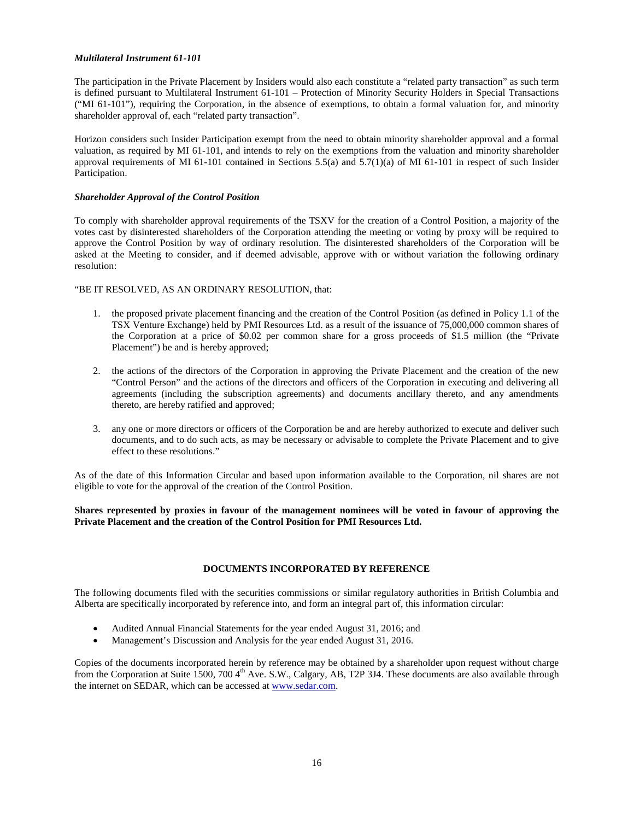## *Multilateral Instrument 61-101*

The participation in the Private Placement by Insiders would also each constitute a "related party transaction" as such term is defined pursuant to Multilateral Instrument 61-101 – Protection of Minority Security Holders in Special Transactions ("MI 61-101"), requiring the Corporation, in the absence of exemptions, to obtain a formal valuation for, and minority shareholder approval of, each "related party transaction".

Horizon considers such Insider Participation exempt from the need to obtain minority shareholder approval and a formal valuation, as required by MI 61-101, and intends to rely on the exemptions from the valuation and minority shareholder approval requirements of MI 61-101 contained in Sections 5.5(a) and 5.7(1)(a) of MI 61-101 in respect of such Insider Participation.

## *Shareholder Approval of the Control Position*

To comply with shareholder approval requirements of the TSXV for the creation of a Control Position, a majority of the votes cast by disinterested shareholders of the Corporation attending the meeting or voting by proxy will be required to approve the Control Position by way of ordinary resolution. The disinterested shareholders of the Corporation will be asked at the Meeting to consider, and if deemed advisable, approve with or without variation the following ordinary resolution:

## "BE IT RESOLVED, AS AN ORDINARY RESOLUTION, that:

- 1. the proposed private placement financing and the creation of the Control Position (as defined in Policy 1.1 of the TSX Venture Exchange) held by PMI Resources Ltd. as a result of the issuance of 75,000,000 common shares of the Corporation at a price of \$0.02 per common share for a gross proceeds of \$1.5 million (the "Private Placement") be and is hereby approved;
- 2. the actions of the directors of the Corporation in approving the Private Placement and the creation of the new "Control Person" and the actions of the directors and officers of the Corporation in executing and delivering all agreements (including the subscription agreements) and documents ancillary thereto, and any amendments thereto, are hereby ratified and approved;
- 3. any one or more directors or officers of the Corporation be and are hereby authorized to execute and deliver such documents, and to do such acts, as may be necessary or advisable to complete the Private Placement and to give effect to these resolutions."

As of the date of this Information Circular and based upon information available to the Corporation, nil shares are not eligible to vote for the approval of the creation of the Control Position.

**Shares represented by proxies in favour of the management nominees will be voted in favour of approving the Private Placement and the creation of the Control Position for PMI Resources Ltd.**

## **DOCUMENTS INCORPORATED BY REFERENCE**

The following documents filed with the securities commissions or similar regulatory authorities in British Columbia and Alberta are specifically incorporated by reference into, and form an integral part of, this information circular:

- Audited Annual Financial Statements for the year ended August 31, 2016; and
- Management's Discussion and Analysis for the year ended August 31, 2016.

Copies of the documents incorporated herein by reference may be obtained by a shareholder upon request without charge from the Corporation at Suite 1500, 700 4<sup>th</sup> Ave. S.W., Calgary, AB, T2P 3J4. These documents are also available through the internet on SEDAR, which can be accessed a[t www.sedar.com.](http://www.sedar.com/)